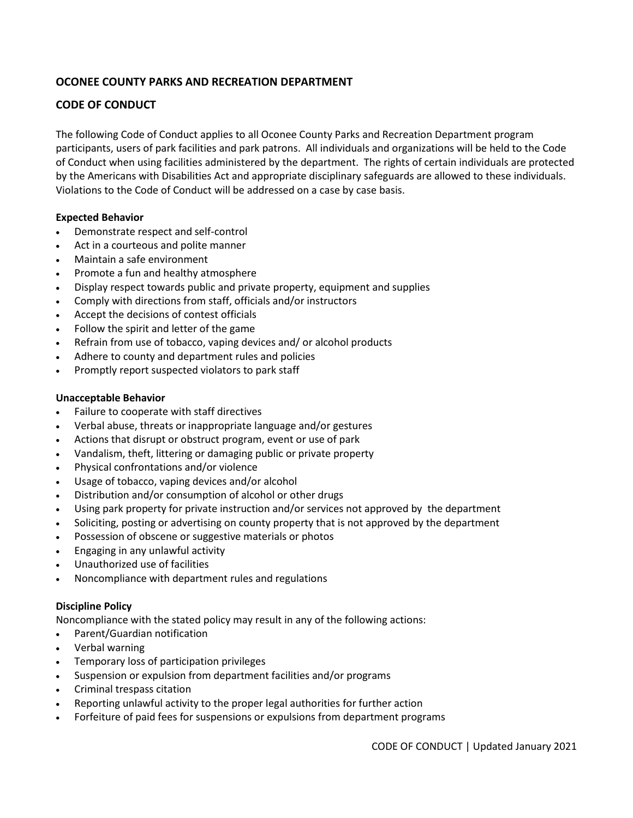# **OCONEE COUNTY PARKS AND RECREATION DEPARTMENT**

## **CODE OF CONDUCT**

The following Code of Conduct applies to all Oconee County Parks and Recreation Department program participants, users of park facilities and park patrons. All individuals and organizations will be held to the Code of Conduct when using facilities administered by the department. The rights of certain individuals are protected by the Americans with Disabilities Act and appropriate disciplinary safeguards are allowed to these individuals. Violations to the Code of Conduct will be addressed on a case by case basis.

## **Expected Behavior**

- Demonstrate respect and self-control
- Act in a courteous and polite manner
- Maintain a safe environment
- Promote a fun and healthy atmosphere
- Display respect towards public and private property, equipment and supplies
- Comply with directions from staff, officials and/or instructors
- Accept the decisions of contest officials
- Follow the spirit and letter of the game
- Refrain from use of tobacco, vaping devices and/ or alcohol products
- Adhere to county and department rules and policies
- Promptly report suspected violators to park staff

## **Unacceptable Behavior**

- Failure to cooperate with staff directives
- Verbal abuse, threats or inappropriate language and/or gestures
- Actions that disrupt or obstruct program, event or use of park
- Vandalism, theft, littering or damaging public or private property
- Physical confrontations and/or violence
- Usage of tobacco, vaping devices and/or alcohol
- Distribution and/or consumption of alcohol or other drugs
- Using park property for private instruction and/or services not approved by the department
- Soliciting, posting or advertising on county property that is not approved by the department
- Possession of obscene or suggestive materials or photos
- Engaging in any unlawful activity
- Unauthorized use of facilities
- Noncompliance with department rules and regulations

## **Discipline Policy**

Noncompliance with the stated policy may result in any of the following actions:

- Parent/Guardian notification
- Verbal warning
- Temporary loss of participation privileges
- Suspension or expulsion from department facilities and/or programs
- Criminal trespass citation
- Reporting unlawful activity to the proper legal authorities for further action
- Forfeiture of paid fees for suspensions or expulsions from department programs